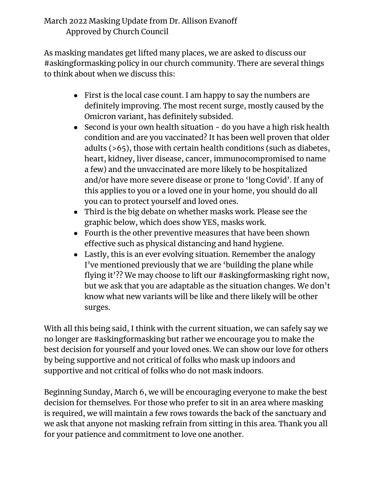## March 2022 Masking Update from Dr. Allison Evanoff Approved by Church Council

As masking mandates get lifted many places, we are asked to discuss our #askingformasking policy in our church community. There are several things to think about when we discuss this:

- First is the local case count. I am happy to say the numbers are definitely improving. The most recent surge, mostly caused by the Omicron variant, has definitely subsided.
- Second is your own health situation do you have a high risk health condition and are you vaccinated? It has been well proven that older adults (>65), those with certain health conditions (such as diabetes, heart, kidney, liver disease, cancer, immunocompromised to name a few) and the unvaccinated are more likely to be hospitalized and/or have more severe disease or prone to 'long Covid'. If any of this applies to you or a loved one in your home, you should do all you can to protect yourself and loved ones.
- Third is the big debate on whether masks work. Please see the graphic below, which does show YES, masks work.
- Fourth is the other preventive measures that have been shown effective such as physical distancing and hand hygiene.
- Lastly, this is an ever evolving situation. Remember the analogy I've mentioned previously that we are 'building the plane while flying it'?? We may choose to lift our #askingformasking right now, but we ask that you are adaptable as the situation changes. We don't know what new variants will be like and there likely will be other surges.

With all this being said, I think with the current situation, we can safely say we no longer are #askingformasking but rather we encourage you to make the best decision for yourself and your loved ones. We can show our love for others by being supportive and not critical of folks who mask up indoors and supportive and not critical of folks who do not mask indoors.

Beginning Sunday, March 6, we will be encouraging everyone to make the best decision for themselves. For those who prefer to sit in an area where masking is required, we will maintain a few rows towards the back of the sanctuary and we ask that anyone not masking refrain from sitting in this area. Thank you all for your patience and commitment to love one another.